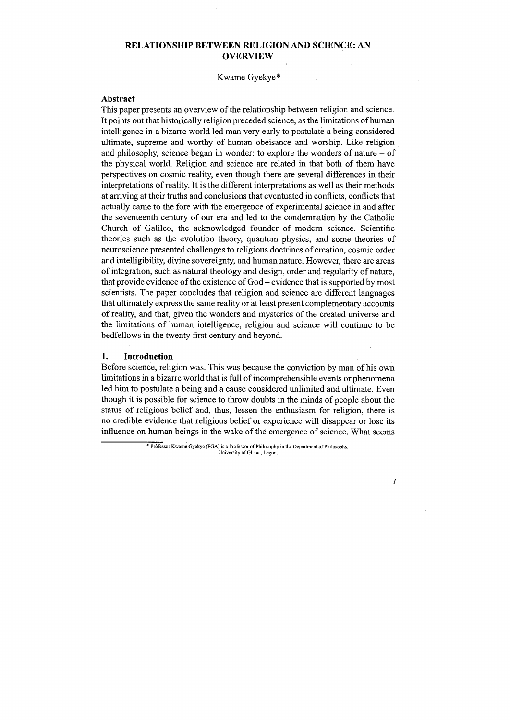## **RELATIONSHIP BETWEEN RELIGION AND SCIENCE: AN OVERVIEW**

Kwame Gyekye\*

#### **Abstract**

This paper presents an overview of the relationship between religion and science. It points out that historically religion preceded science, as the limitations of human intelligence in a bizarre world led man very early to postulate a being considered ultimate, supreme and worthy of human obeisance and worship. Like religion and philosophy, science began in wonder: to explore the wonders of nature  $-$  of the physical world. Religion and science are related in that both of them have perspectives on cosmic reality, even though there are several differences in their interpretations of reality. It is the different interpretations as well as their methods at arriving at their truths and conclusions that eventuated in conflicts, conflicts that actually came to the fore with the emergence of experimental science in and after the seventeenth century of our era and led to the condemnation by the Catholic Church of Galileo, the acknowledged founder of modem science. Scientific theories such as the evolution theory, quantum physics, and some theories of neuroscience presented challenges to religious doctrines of creation, cosmic order and intelligibility, divine sovereignty, and human nature. However, there are areas of integration, such as natural theology and design, order and regularity of nature, that provide evidence of the existence of God- evidence that is supported by most scientists. The paper concludes that religion and science are different languages that ultimately express the same reality or at least present complementary accounts of reality, and that, given the wonders and mysteries of the created universe and the limitations of human intelligence, religion and science will continue to be bedfellows in the twenty first century and beyond.

#### **1. Introduction**

Before science, religion was. This was because the conviction by man of his own limitations in a bizarre world that is full of incomprehensible events or phenomena led him to postulate a being and a cause considered unlimited and ultimate. Even though it is possible for science to throw doubts in the minds of people about the status of religious belief and, thus, lessen the enthusiasm for religion, there is no credible evidence that religious belief or experience will disappear or lose its influence on human beings in the wake of the emergence of science. What seems

> \* Professor Kwame Gyekye (FGA) is a Professor of Philosophy in the Department of Philosophy, **University of Ghana, Legon.**

> > *1*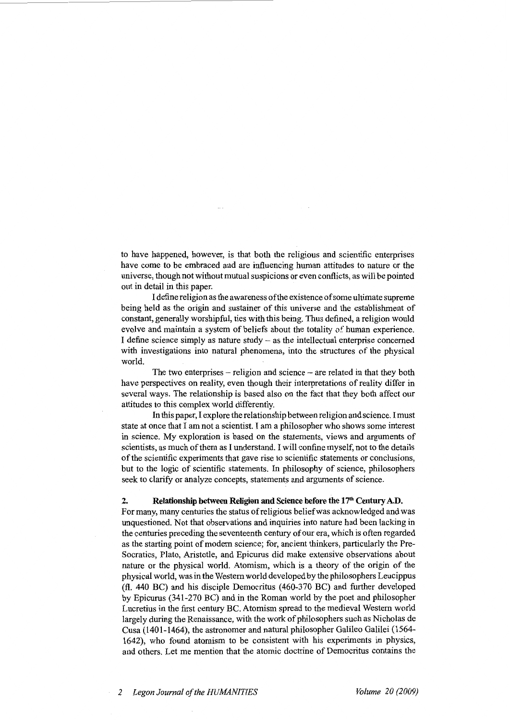to have happened, however, is that both the religious and scientific enterprises have come to be embraced and are influencing human attitudes to nature or the universe, though not without mutual suspicions or even conflicts, as will be pointed out in detail in this paper.

I define religion as the awareness of the existence of some ultimate supreme being held as the origin and sustainer of this universe and the establishment of constant, generally worshipful, ties with this being. Thus defined, a religion would evolve and maintain a system of beliefs about the totality of human experience. I define science simply as nature study  $-$  as the intellectual enterprise concerned with investigations into natural phenomena, into the structures of the physical world.

The two enterprises  $-$  religion and science  $-$  are related in that they both have perspectives on reality, even though their interpretations of reality differ in several ways. The relationship is based also on the fact that they both affect our attitudes to this complex world differently.

In this paper, I explore the relationship between religion and science. I must state at once that I am not a scientist. I am a philosopher who shows some interest in science. My exploration is based on the statements, views and arguments of scientists, as much of them as I understand. I will confine myself, not to the details of the scientific experiments that gave rise to scientific statements or conclusions, but to the logic of scientific statements. In philosophy of science, philosophers seek to clarify or analyze concepts, statements and arguments of science.

## 2. Relationship between Religion and Science before the  $17<sup>th</sup>$  Century A.D.

For many, many centuries the status ofreligious belief was acknowledged and was unquestioned. Not that observations and inquiries into nature had been lacking in the centuries preceding the seventeenth century of our era, which is often regarded as the starting point of modern science; for, ancient thinkers, particularly the Pre-Socratics, Plato, Aristotle, and Epicurus did make extensive observations about nature or the physical world. Atomism, which is a theory of the origin of the physical world, was in the Western world developed by the philosophers Leucippus (fl. 440 BC) and his disciple Democritus (460-370 BC) and further developed by Epicurus (341-270 BC) and in the Roman world by the poet and philosopher Lucretius in the first century BC. Atomism spread to the medieval Western world largely during the Renaissance, with the work of philosophers such as Nicholas de Cusa (1401-1464), the astronomer and natural philosopher Galileo Galilei (1564- 1642), who found atomism to be consistent with his experiments in physics, and others. Let me mention that the atomic doctrine of Democritus contains the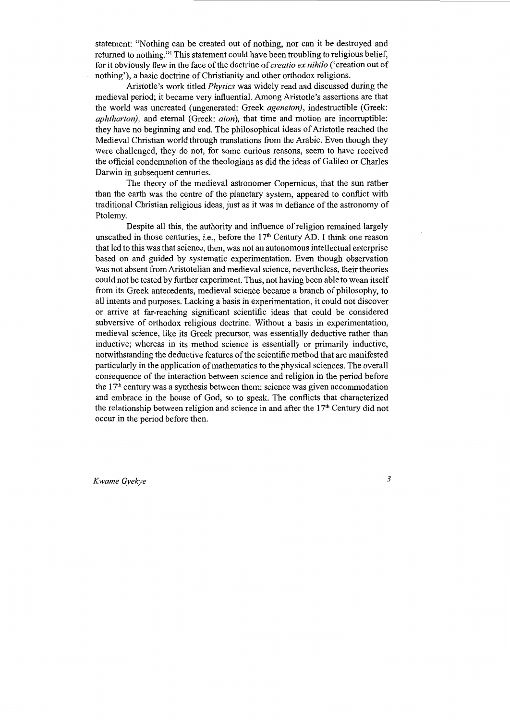statement: "Nothing can be created out of nothing, nor can it be destroyed and returned to nothing."1 This statement could have been troubling to religious belief, for it obviously flew in the face of the doctrine of *creatio ex nihilo* ('creation out of nothing'), a basic doctrine of Christianity and other orthodox religions.

Aristotle's work titled *Physics* was widely read and discussed during the medieval period; it became very influential. Among Aristotle's assertions are that the world was uncreated (ungenerated: Greek *ageneton),* indestructible (Greek: *aphtharton),* and eternal (Greek: *aion),* that time and motion are incorruptible: they have no beginning and end. The philosophical ideas of Aristotle reached the Medieval Christian world through translations from the Arabic. Even though they were challenged, they do not, for some curious reasons, seem to have received the official condemnation of the theologians as did the ideas of Galileo or Charles Darwin in subsequent centuries.

The theory of the medieval astronomer Copernicus, that the sun rather than the earth was the centre of the planetary system, appeared to conflict with traditional Christian religious ideas, just as it was in defiance of the astronomy of Ptolemy.

Despite all this, the authority and influence of religion remained largely unscathed in those centuries, i.e., before the  $17<sup>th</sup>$  Century AD. I think one reason that led to this was that science, then, was not an autonomous intellectual enterprise based on and guided by systematic experimentation. Even though observation was not absent from Aristotelian and medieval science, nevertheless, their theories could not be tested by further experiment. Thus, not having been able to wean itself from its Greek antecedents, medieval science became a branch of philosophy, to all intents and purposes. Lacking a basis in experimentation, it could not discover or arrive at far-reaching significant scientific ideas that could be considered subversive of orthodox religious doctrine. Without a basis in experimentation, medieval science, like its Greek precursor, was essentially deductive rather than inductive; whereas in its method science is essentially or primarily inductive, notwithstanding the deductive features of the scientific method that are manifested particularly in the application of mathematics to the physical sciences. The overall consequence of the interaction between science and religion in the period before the  $17<sup>th</sup>$  century was a synthesis between them: science was given accommodation and embrace in the house of God, so to speak. The conflicts that characterized the relationship between religion and science in and after the l 7'h Century did not occur in the period before then.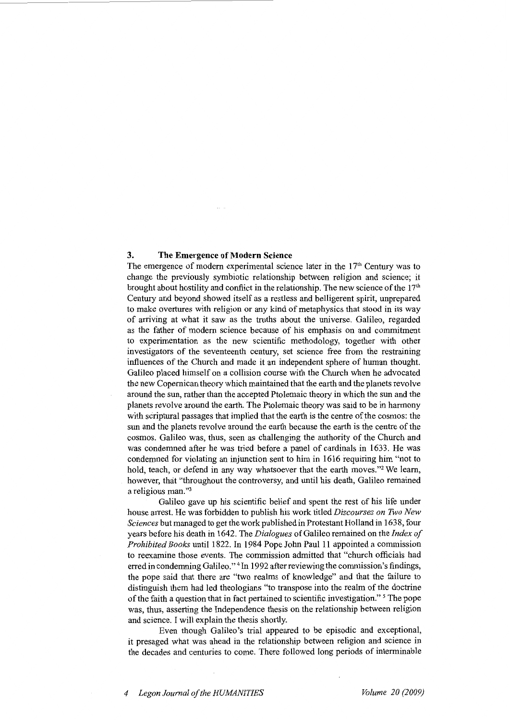### **3. The Emergence of Modern Science**

The emergence of modern experimental science later in the  $17<sup>th</sup>$  Century was to change the previously symbiotic relationship between religion and science; it brought about hostility and conflict in the relationship. The new science of the  $17<sup>th</sup>$ Century and beyond showed itself as a restless and belligerent spirit, unprepared to make overtures with religion or any kind of metaphysics that stood in its way of arriving at what it saw as the truths about the universe. Galileo, regarded as the father of modem science because of his emphasis on and commitment to experimentation as the new scientific methodology, together with other investigators of the seventeenth century, set science free from the restraining influences of the Church and made it an independent sphere of human thought. Galileo placed himself on a collision course with the Church when he advocated the new Copernican theory which maintained that the earth and the planets revolve around the sun, rather than the accepted Ptolemaic theory in which the sun and the planets revolve around the earth. The Ptolemaic theory was said to be in harmony with scriptural passages that implied that the earth is the centre of the cosmos: the sun and the planets revolve around the earth because the earth is the centre of the cosmos. Galileo was, thus, seen as challenging the authority of the Church and was condemned after he was tried before a panel of cardinals in 1633. He was condemned for violating an injunction sent to him in 1616 requiring him "not to hold, teach, or defend in any way whatsoever that the earth moves."2 We learn, however, that "throughout the controversy, and until his death, Galileo remained a religious man."3

Galileo gave up his scientific belief and spent the rest of his life under house arrest. He was forbidden to publish his work titled *Discourses on Two New Sciences* but managed to get the work published in Protestant Holland in 1638, four years before his death in 1642. The *Dialogues* of Galileo remained on the *Index of Prohibited Books* until 1822. In 1984 Pope John Paul 11 appointed a commission to reexamine those events. The commission admitted that "church officials had erred in condemning Galileo." <sup>4</sup> In 1992 after reviewing the commission's findings, the pope said that there are "two realms of knowledge" and that the failure to distinguish them had led theologians "to transpose into the realm of the doctrine of the faith a question that in fact pertained to scientific investigation." *<sup>5</sup>*The pope was, thus, asserting the Independence thesis on the relationship between religion and science. I will explain the thesis shortly.

Even though Galileo's trial appeared to be episodic and exceptional, it presaged what was ahead in the relationship between religion and science in the decades and centuries to come. There followed long periods of interminable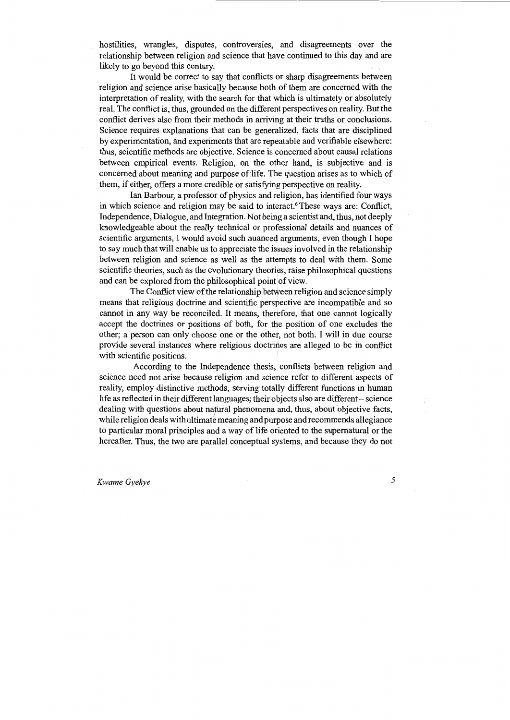hostilities, wrangles, disputes, controversies, and disagreements over the relationship between religion and science that have continued to this day and are likely to go beyond this century.

It would be correct to say that conflicts or sharp disagreements between religion and science arise basically because both of them are concerned with the interpretation of reality, with the search for that which is ultimately or absolutely real. The conflict is, thus, grounded on the different perspectives on reality. But the conflict derives also from their methods in arriving at their truths or conclusions. Science requires explanations that can be generalized, facts that are disciplined by experimentation, and experiments that are repeatable and verifiable elsewhere: thus, scientific methods are objective. Science is concerned about causal relations between empirical events. Religion, on the other hand, is subjective and is concerned about meaning and purpose of life. The question arises as to which of them, if either, offers a more credible or satisfying perspective on reality.

Ian Barbour, a professor of physics and religion, has identified four ways in which science and religion may be said to interact.<sup>6</sup> These ways are: Conflict, Independence, Dialogue, and Integration. Not being a scientist and, thus, not deeply knowledgeable about the really technical or professional details and nuances of scientific arguments, I would avoid such nuanced arguments, even though I hope to say much that will enable us to appreciate the issues involved in the relationship between religion and science as well as the attempts to deal with them. Some scientific theories, such as the evolutionary theories, raise philosophical questions and can be explored from the philosophical point of view.

The Conflict view of the relationship between religion and science simply means that religious doctrine and scientific perspective are incompatible and so cannot in any way be reconciled. It means, therefore, that one cannot logically accept the doctrines or positions of both, for the position of one excludes the other; a person can only choose one or the other, not both. I will in due course provide several instances where religious doctrines are alleged to be in conflict with scientific positions.

According to the Independence thesis, conflicts between religion and science need not arise because religion and science refer to different aspects of reality, employ distinctive methods, serving totally different functions in human life as reflected in their different languages; their objects also are different – science dealing with questions about natural phenomena and, thus, about objective facts, while religion deals with ultimate meaning and purpose and recommends allegiance to particular moral principles and a way of life oriented to the supernatural or the hereafter. Thus, the two are parallel conceptual systems, and because they do not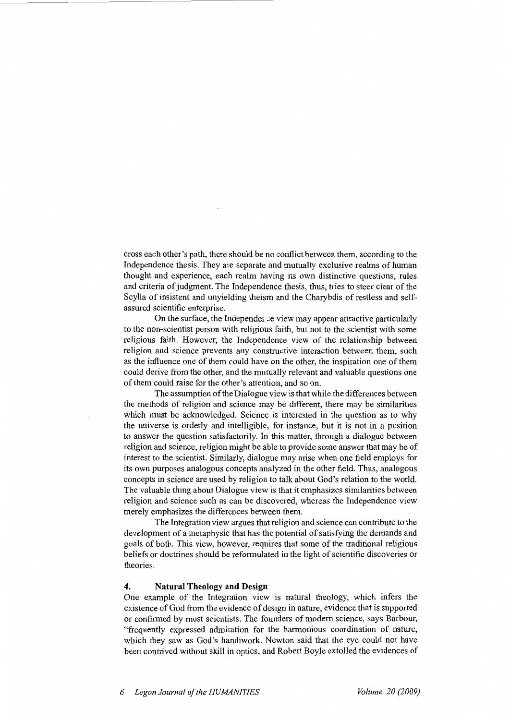cross each other's path, there should be no conflict between them, according to the Independence thesis. They are separate and mutually exclusive realms of human thought and experience, each realm having its own distinctive questions, rules and criteria of judgment. The Independence thesis, thus, tries to steer clear of the Scylla of insistent and unyielding theism and the Charybdis of restless and selfassured scientific enterprise.

On the surface, the Independence wiew may appear attractive particularly to the non-scientist person with religious faith, but not to the scientist with some religious faith. However, the Independence view of the relationship between religion and science prevents any constructive interaction between them, such as the influence one of them could have on the other, the inspiration one of them could derive from the other, and the mutually relevant and valuable questions one of them could raise for the other's attention, and so on.

The assumption of the Dialogue view is that while the differences between the methods of religion and science may be different, there may be similarities which must be acknowledged. Science is interested in the question as to why the universe is orderly and intelligible, for instance, but it is not in a position to answer the question satisfactorily. In this matter, through a dialogue between religion and science, religion might be able to provide some answer that may be of interest to the scientist. Similarly, dialogue may arise when one field employs for its own purposes analogous concepts analyzed in the other field. Thus, analogous concepts in science are used by religion to talk about God's relation to the world. The valuable thing about Dialogue view is that it emphasizes similarities between religion and science such as can be discovered, whereas the Independence view merely emphasizes the differences between them.

The Integration view argues that religion and science can contribute to the development of a metaphysic that has the potential of satisfying the demands and goals of both. This view, however, requires that some of the traditional religious beliefs or doctrines should be reformulated in the light of scientific discoveries or theories.

## **4. Natural Theology and Design**

One example of the Integration view is natural theology, which infers the existence of God from the evidence of design in nature, evidence that is supported or confirmed by most scientists. The founders of modem science, says Barbour, "frequently expressed admiration for the harmonious coordination of nature, which they saw as God's handiwork. Newton said that the eye could not have been contrived without skill in optics, and Robert Boyle extolled the evidences of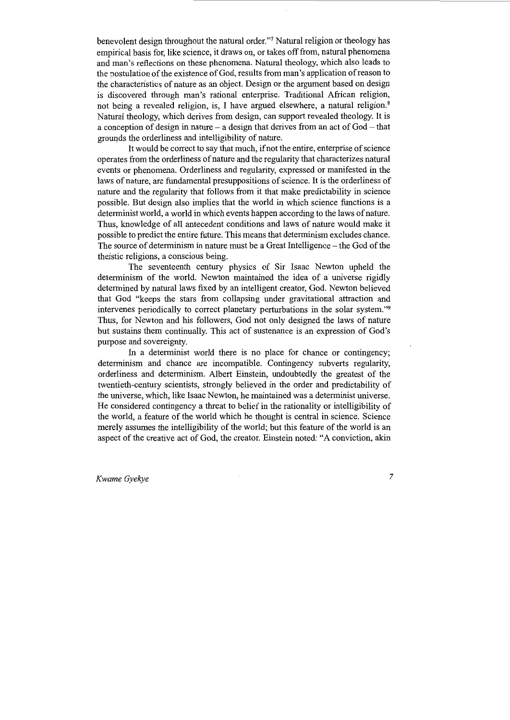benevolent design throughout the natural order."7 Natural religion or theology has empirical basis for, like science, it draws on, or takes off from, natural phenomena and man's reflections on these phenomena. Natural theology, which also leads to the postulation of the existence of God, results from man's application of reason to the characteristics of nature as an object. Design or the argument based on design is discovered through man's rational enterprise. Traditional African religion, not being a revealed religion, is, I have argued elsewhere, a natural religion.<sup>8</sup> Natural theology, which derives from design, can support revealed theology. It is a conception of design in nature  $-$  a design that derives from an act of God  $-$  that grounds the orderliness and intelligibility of nature.

It would be correct to say that much, if not the entire, enterprise of science operates from the orderliness of nature and the regularity that characterizes natural events or phenomena. Orderliness and regularity, expressed or manifested in the laws of nature, are fundamental presuppositions of science. It is the orderliness of nature and the regularity that follows from it that make predictability in science possible. But design also implies that the world in which science functions is a determinist world, a world in which events happen according to the laws of nature. Thus, knowledge of all antecedent conditions and laws of nature would make it possible to predict the entire future. This means that determinism excludes chance. The source of determinism in nature must be a Great Intelligence – the God of the theistic religions, a conscious being.

The seventeenth century physics of Sir Isaac Newton upheld the determinism of the world. Newton maintained the idea of a universe rigidly determined by natural laws fixed by an intelligent creator, God. Newton believed that God "keeps the stars from collapsing under gravitational attraction and intervenes periodically to correct planetary perturbations in the solar system."9 Thus, for Newton and his followers, God not only designed the laws of nature but sustains them continually. This act of sustenance is an expression of God's purpose and sovereignty.

In a determinist world there is no place for chance or contingency; determinism and chance are incompatible. Contingency subverts regularity, orderliness and determinism. Albert Einstein, undoubtedly the greatest of the twentieth-century scientists, strongly believed in the order and predictability of the universe, which, like Isaac Newton, he maintained was a determinist universe. He considered contingency a threat to belief in the rationality or intelligibility of the world, a feature of the world which he thought is central in science. Science merely assumes the intelligibility of the world; but this feature of the world is an aspect of the creative act of God, the creator. Einstein noted: "A conviction, akin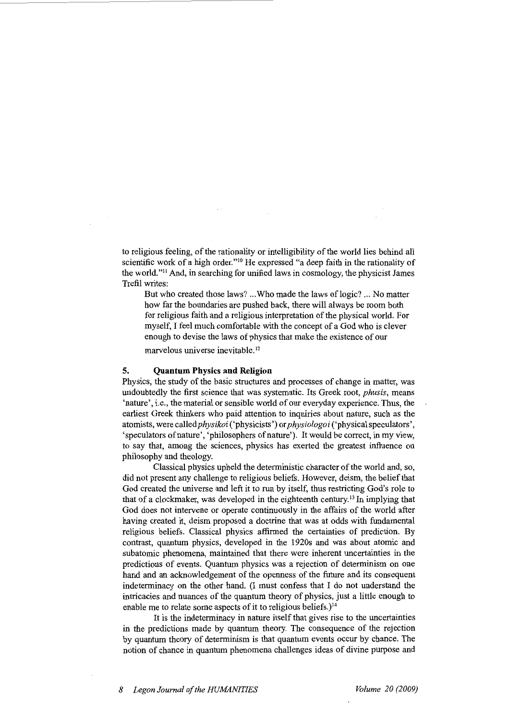to religious feeling, of the rationality or intelligibility of the world lies behind all scientific work of a high order."10 He expressed "a deep faith in the rationality of the world."<sup>11</sup> And, in searching for unified laws in cosmology, the physicist James Trefil writes:

But who created those laws? ...Who made the laws of logic? ... No matter how far the boundaries are pushed back, there will always be room both for religious faith and a religious interpretation of the physical world. For myself, I feel much comfortable with the concept of a God who is clever enough to devise the laws of physics that make the existence of our

marvelous universe inevitable. <sup>12</sup>

#### **5. Quantum Physics and Religion**

Physics, the study of the basic structures and processes of change in matter, was undoubtedly the first science that was systematic. Its Greek root, *phusis,* means 'nature', i.e., the material or sensible world of our everyday experience. Thus, the earliest Greek thinkers who paid attention to inquiries about nature, such as the atomists, were *calledphysikoi* ('physicists') or *physiologoi* ('physical speculators', 'speculators of nature', 'philosophers of nature'). It would be correct, in my view, to say that, among the sciences, physics has exerted the greatest influence on philosophy and theology.

Classical physics upheld the deterministic character of the world and, so, did not present any challenge to religious beliefs. However, deism, the belief that God created the universe and left it to run by itself, thus restricting God's role to that of a clockmaker, was developed in the eighteenth century. 13 In implying that God does not intervene or operate continuously in the affairs of the world after having created it, deism proposed a doctrine that was at odds with fundamental religious beliefs. Classical physics affirmed the certainties of prediction. By contrast, quantum physics, developed in the 1920s and was about atomic and subatomic phenomena, maintained that there were inherent uncertainties in the predictions of events. Quantum physics was a rejection of determinism on one hand and an acknowledgement of the openness of the future and its consequent indeterminacy on the other hand. (I must confess that I do not understand the intricacies and nuances of the quantum theory of physics, just a little enough to enable me to relate some aspects of it to religious beliefs.)<sup>14</sup>

It is the indeterminacy in nature itself that gives rise to the uncertainties in the predictions made by quantum theory. The consequence of the rejection by quantum theory of determinism is that quantum events occur by chance. The notion of chance in quantum phenomena challenges ideas of divine purpose and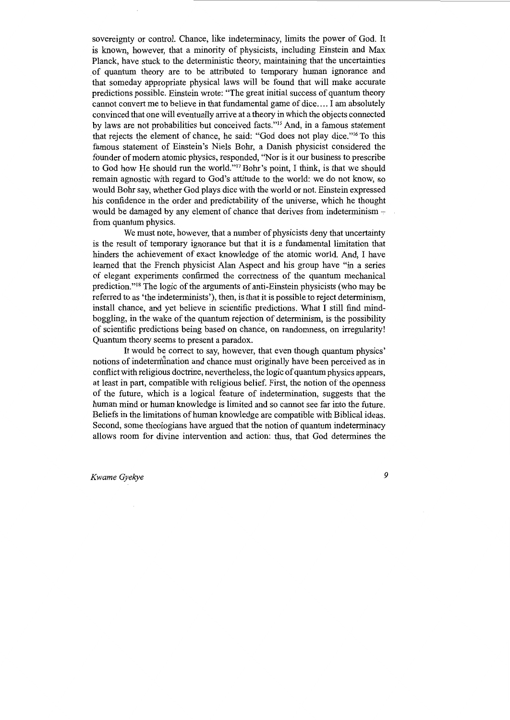sovereignty or control. Chance, like indeterminacy, limits the power of God. It is known, however, that a minority of physicists, including Einstein and Max Planck, have stuck to the deterministic theory, maintaining that the uncertainties . of quantum theory are to be attributed to temporary human ignorance and that someday appropriate physical laws will be found that will make accurate predictions possible. Einstein wrote: "The great initial success of quantum theory cannot convert me to believe in that fundamental game of dice .... I am absolutely convinced that one will eventually arrive at a theory in which the objects connected by laws are not probabilities but conceived facts."<sup>15</sup> And, in a famous statement that rejects the element of chance, he said: "God does not play dice."<sup>16</sup> To this famous statement of Einstein's Niels Bohr, a Danish physicist considered the founder of modem atomic physics, responded, "Nor is it our business to prescribe to God how He should run the world."17 Bohr's point, I think, is that we should remain agnostic with regard to God's attitude to the world: we do not know, so would Bohr say, whether God plays dice with the world or not. Einstein expressed his confidence in the order and predictability of the universe, which he thought would be damaged by any element of chance that derives from indeterminism  $$ from quantum physics.

We must note, however, that a number of physicists deny that uncertainty is the result of temporary ignorance but that it is a fundamental limitation that hinders the achievement of exact knowledge of the atomic world. And, I have learned that the French physicist Alan Aspect and his group have "in a series of elegant experiments confirmed the correctness of the quantum mechanical prediction."18 The logic of the arguments of anti-Einstein physicists (who may be referred to as 'the indeterminists'), then, is that it is possible to reject determinism, install chance, and yet believe in scientific predictions. What I still find mindboggling, in the wake of the quantum rejection of determinism, is the possibility of scientific predictions being based on chance, on randomness, on irregularity! Quantum theory seems to present a paradox.

It would be correct to say, however, that even though quantum physics' notions of indetermination and chance must originally have been perceived as in conflict with religious doctrine, nevertheless, the logic of quantum physics appears, at least in part, compatible with religious belief. First, the notion of the openness of the future, which is a logical feature of indetermination, suggests that the human mind or human knowledge is limited and so cannot see far into the future. Beliefs in the limitations of human knowledge are compatible with Biblical ideas. Second, some theologians have argued that the notion of quantum indeterminacy allows room for divine intervention and action: thus, that God determines the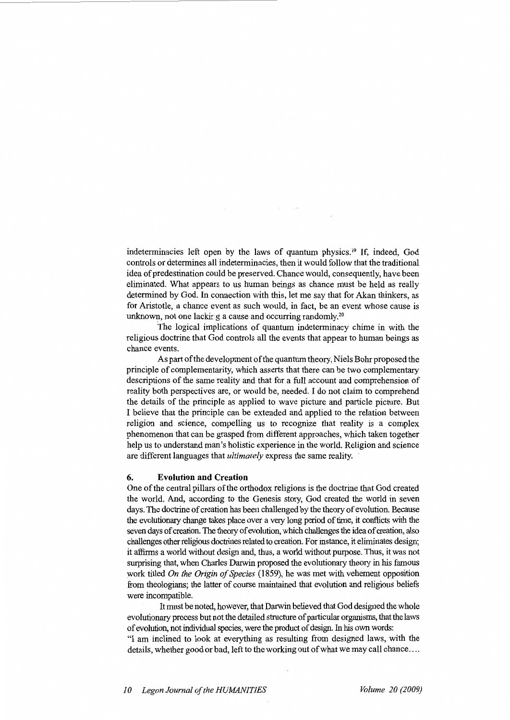indeterminacies left open by the laws of quantum physics.<sup>19</sup> If, indeed, God controls or determines all indeterminacies, then it would follow that the traditional idea of predestination could be preserved. Chance would, consequently, have been eliminated. What appears to us human beings as chance must be held as really determined by God. In connection with this, let me say that for Akan thinkers, as for Aristotle, a chance event as such would, in fact, be an event whose cause is unknown, not one lacking a cause and occurring randomly.<sup>20</sup>

The logical implications of quantum indeterminacy chime in with the religious doctrine that God controls all the events that appear to human beings as chance events.

As part of the development of the quantum theory, Niels Bohr proposed the principle of complementarity, which asserts that there can be two complementary descriptions of the same reality and that for a full account and comprehension of reality both perspectives are, or would be, needed. I do not claim to comprehend the details of the principle as applied to wave picture and particle picture. But I believe that the principle can be extended and applied to the relation between religion and science, compelling us to recognize that reality is a complex phenomenon that can be grasped from different approaches, which taken together help us to understand man's holistic experience in the world. Religion and science are different languages that *ultimately* express the same reality.

#### **6. Evolution and Creation**

One of the central pillars of the orthodox religions is the doctrine that God created the world. And, according to the Genesis story, God created the world in seven days. The doctrine of creation has been challenged by the theory of evolution. Because the evolutionary change takes place over a very long period of time, it conflicts with the seven days of creation. The theory of evolution, which challenges the idea of creation, also challenges other religious doctrines related to creation. For instance, it eliminates design; it affirms a world without design and, thus, a world without purpose. Thus, it was not surprising that, when Charles Darwin proposed the evolutionary theory in his famous work titled *On the Origin of Species* (1859), he was met with vehement opposition from theologians; the latter of course maintained that evolution and religious beliefs were incompatible.

It must be noted, however, that Darwin believed that God designed the whole evolutionary process but not the detailed structure of particular organisms, that the laws of evolution, not individual species, were the product of design. In his own words:

"I am inclined to look at everything as resulting from designed laws, with the details, whether good or bad, left to the working out of what we may call chance ....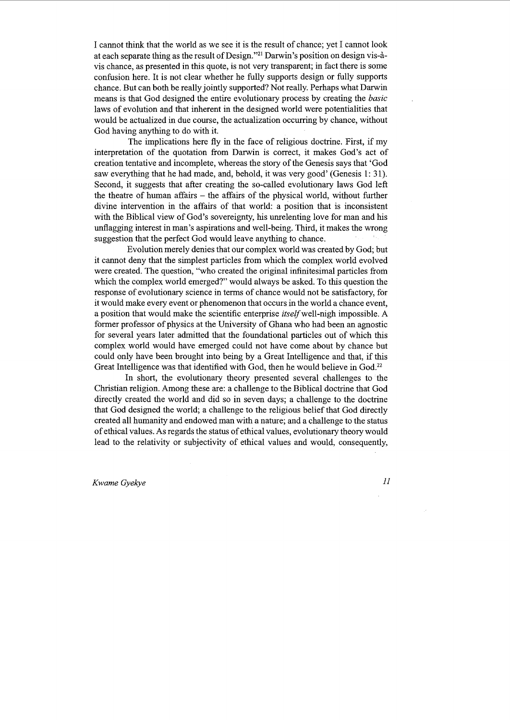I cannot think that the world as we see it is the result of chance; yet I cannot look at each separate thing as the result of Design."<sup>21</sup> Darwin's position on design vis-àvis chance, as presented in this quote, is not very transparent; in fact there is some confusion here. It is not clear whether he fully supports design or fully supports chance. But can both be really jointly supported? Not really. Perhaps what Darwin means is that God designed the entire evolutionary process by creating the *basic*  laws of evolution and that inherent in the designed world were potentialities that would be actualized in due course, the actualization occurring by chance, without God having anything to do with it.

The implications here fly in the face of religious doctrine. First, if my interpretation of the quotation from Darwin is correct, it makes God's act of creation tentative and incomplete, whereas the story of the Genesis says that 'God saw everything that he had made, and, behold, it was very good' (Genesis 1: 31). Second, it suggests that after creating the so-called evolutionary laws God left the theatre of human affairs - the affairs of the physical world, without further divine intervention in the affairs of that world: a position that is inconsistent with the Biblical view of God's sovereignty, his unrelenting love for man and his unflagging interest in man's aspirations and well-being. Third, it makes the wrong suggestion that the perfect God would leave anything to chance.

Evolution merely denies that our complex world was created by God; but it cannot deny that the simplest particles from which the complex world evolved were created. The question, "who created the original infinitesimal particles from which the complex world emerged?" would always be asked. To this question the response of evolutionary science in terms of chance would not be satisfactory, for it would make every event or phenomenon that occurs in the world a chance event, a position that would make the scientific enterprise *itself* well-nigh impossible. A former professor of physics at the University of Ghana who had been an agnostic for several years later admitted that the foundational particles out of which this complex world would have emerged could not have come about by chance but could only have been brought into being by a Great Intelligence and that, if this Great Intelligence was that identified with God, then he would believe in God.<sup>22</sup>

In short, the evolutionary theory presented several challenges to the Christian religion. Among these are: a challenge to the Biblical doctrine that God directly created the world and did so in seven days; a challenge to the doctrine that God designed the world; a challenge to the religious belief that God directly created all humanity and endowed man with a nature; and a challenge to the status of ethical values. As regards the status of ethical values, evolutionary theory would lead to the relativity or subjectivity of ethical values and would, consequently,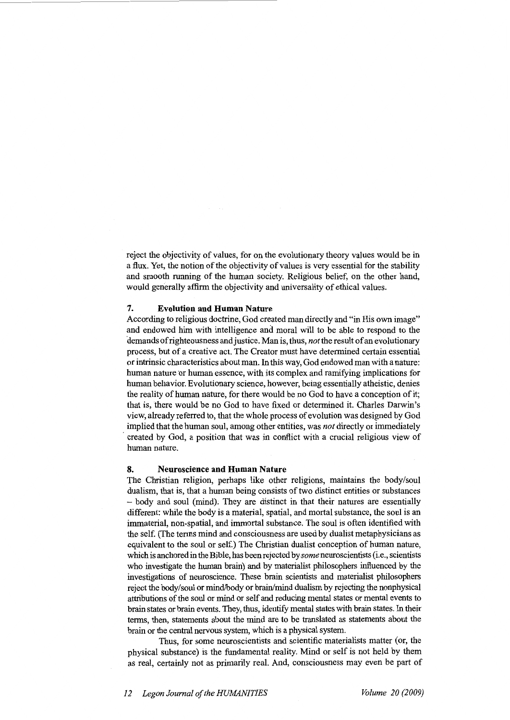reject the objectivity of values, for on the evolutionary theory values would be in a flux. Yet, the notion of the objectivity of values is very essential for the stability and smooth running of the human society. Religious belief, on the other hand, would generally affirm the objectivity and universality of ethical values.

#### **7. Evolution and Human Nature**

According to religious doctrine, God created man directly and "in His own image" and endowed him with intelligence and moral will to be able to respond to the demands of righteousness and justice. Man is, thus, *not* the result of an evolutionary process, but of a creative act. The Creator must have determined certain essential or intrinsic characteristics about man. In this way, God endowed man with a nature: human nature or human essence, with its complex and ramifying implications for human behavior. Evolutionary science, however, being essentially atheistic, denies the reality of human nature, for there would be no God to have a conception of it; that is, there would be no God to have fixed or determined it. Charles Darwin's view, already referred to, that the whole process of evolution was designed by God implied that the human soul, among other entities, was *not* directly or immediately created by God, a position that was in conflict with a crucial religious view of human nature.

#### **8. Neuroscience and Human Nature**

The Christian religion, perhaps like other religions, maintains the body/soul dualism, that is, that a human being consists of two distinct entities or substances - body and soul (mind). They are distinct in that their natures are essentially different: while the body is a material, spatial, and mortal substance, the soul is an immaterial, non-spatial, and immortal substance. The soul is often identified with the self. (The terms mind and consciousness are used by dualist metaphysicians as equivalent to the soul or self.) The Christian dualist conception of human nature, which is anchored in the Bible, has been rejected by *some* neuroscientists (i.e., scientists who investigate the human brain) and by materialist philosophers influenced by the investigations of neuroscience. These brain scientists and materialist philosophers reject the body/soul or mind/body or brain/mind dualism by rejecting the nonphysical attributions of the soul or mind or self and reducing mental states or mental events to brain states or brain events. They, thus, identify mental states with brain states. In their terms, then, statements about the mind are to be translated as statements about the brain or the central nervous system, which is a physical system.

Thus, for some neuroscientists and scientific materialists matter (or, the physical substance) is the fundamental reality. Mind or self is not held by them as real, certainly not as primarily real. And, consciousness may even be part of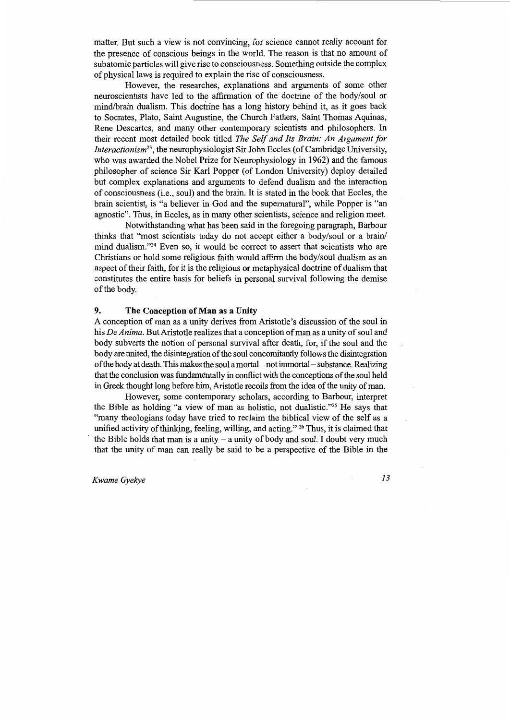matter. But such a view is not convincing, for science cannot really account for the presence of conscious beings in the world. The reason is that no amount of subatomic particles will give rise to consciousness. Something outside the complex of physical laws is required to explain the rise of consciousness.

However, the researches, explanations and arguments of some other neuroscientists have led to the affirmation of the doctrine of the body/soul or mind/brain dualism. This doctrine has a long history behind it, as it goes back to Socrates, Plato, Saint Augustine, the Church Fathers, Saint Thomas Aquinas, Rene Descartes, and many other contemporary scientists and philosophers. In their recent most detailed book titled *The Self and Its Brain: An Argument for lnteractionism23,* the neurophysiologist Sir John Eccles (of Cambridge University, who was awarded the Nobel Prize for Neurophysiology in 1962) and the famous philosopher of science Sir Karl Popper (of London University) deploy detailed but complex explanations and arguments to defend dualism and the interaction of consciousness (i.e., soul) and the brain. It is stated in the book that Eccles, the brain scientist, is "a believer in God and the supernatural", while Popper is "an agnostic". Thus, in Eccles, as in many other scientists, science and religion meet.

Notwithstanding what has been said in the foregoing paragraph, Barbour thinks that "most scientists today do not accept either a body/soul or a brain/ mind dualism."24 Even so, it would be correct to assert that scientists who are Christians or hold some religious faith would affirm the body/soul dualism as an aspect of their faith, for it is the religious or metaphysical doctrine of dualism that constitutes the entire basis for beliefs in personal survival following the demise of the body.

#### **9. The Conception of Man** as a **Unity**

A conception of man as a unity derives from Aristotle's discussion of the soul in his *De Anima.* But Aristotle realizes that a conception of man as a unity of soul and body subverts the notion of personal survival after death, for, if the soul and the body are united, the disintegration of the soul concomitantly follows the disintegration of the body at death. This makes the soul a mortal-not immortal - substance. Realizing that the conclusion was fundamentally in conflict with the conceptions of the soul held in Greek thought long before him, Aristotle recoils from the idea of the unity of man.

However, some contemporary scholars, according to Barbour, interpret the Bible as holding "a view of man as holistic, not dualistic."25 He says that "many theologians today have tried to reclaim the biblical view of the self as a unified activity of thinking, feeling, willing, and acting." <sup>26</sup> Thus, it is claimed that the Bible holds that man is a unity  $-$  a unity of body and soul. I doubt very much that the unity of man can really be said to be a perspective of the Bible in the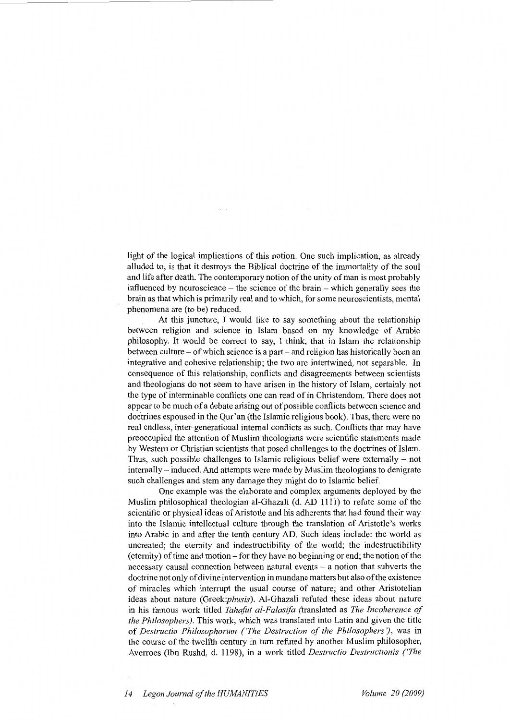light of the logical implications of this notion. One such implication, as already alluded to, is that it destroys the Biblical doctrine of the immortality of the soul and life after death. The contemporary notion of the unity of man is most probably influenced by neuroscience  $-$  the science of the brain  $-$  which generally sees the brain as that which is primarily real and to which, for some neuroscientists, mental phenomena are (to be) reduced.

At this juncture, I would like to say something about the relationship between religion and science in Islam based on my knowledge of Arabic philosophy. It would be correct to say, I think, that in Islam the relationship between culture - of which science is a part- and religion has historically been an integrative and cohesive relationship; the two are intertwined, not separable. In consequence of this relationship, conflicts and disagreements between scientists and theologians do not seem to have arisen in the history of Islam, certainly not the type of interminable conflicts one can read of in Christendom. There does not appear to be much of a debate arising out of possible conflicts between science and doctrines espoused in the Qur'an (the Islamic religious book). Thus, there were no real endless, inter-generational internal conflicts as such. Conflicts that may have preoccupied the attention of Muslim theologians were scientific statements made by Western or Christian scientists that posed challenges to the doctrines of Islam. Thus, such possible challenges to Islamic religious belief were externally  $-$  not internally- induced. And attempts were made by Muslim theologians to denigrate such challenges and stem any damage they might do to Islamic belief.

One example was the elaborate and complex arguments deployed by the Muslim philosophical theologian al-Ghazali (d. AD 1111) to refute some of the scientific or physical ideas of Aristotle and his adherents that had found their way into the Islamic intellectual culture through the translation of Aristotle's works into Arabic in and after the tenth century AD. Such ideas include: the world as uncreated; the eternity and indestructibility of the world; the indestructibility (eternity) of time and motion - for they have no beginning or end; the notion of the necessary causal connection between natural events - a notion that subverts the doctrine not only of divine intervention in mundane matters but also of the existence of miracles which interrupt the usual course of nature; and other Aristotelian ideas about nature *(Greek:phusis).* Al-Ghazali refuted these ideas about nature in his famous work titled *Tahafut al-Falasifa* (translated as *The Incoherence of the Philosophers).* This work, which was translated into Latin and given the title of *Destructio Philosophorum ('The Destruction of the Philosophers'),* was in the course of the twelfth century in tum refuted by another Muslim philosopher, Averroes (Ibn Rushd, d. 1198), in a work titled *Destructio Destructionis ('The*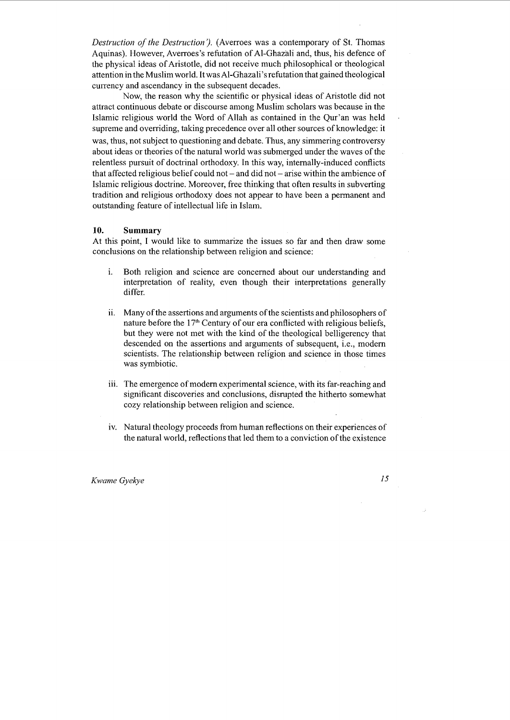*Destruction of the Destruction').* (Averroes was a contemporary of St. Thomas Aquinas). However, Averroes's refutation of Al-Ghazali and, thus, his defence of the physical ideas of Aristotle, did not receive much philosophical or theological attention in the Muslim world. It wasAl-Ghazali 's refutation that gained theological currency and ascendancy in the subsequent decades.

Now, the reason why the scientific or physical ideas of Aristotle did not attract continuous debate or discourse among Muslim scholars was because in the Islamic religious world the Word of Allah as contained in the Qur'an was held supreme and overriding, taking precedence over all other sources of knowledge: it was, thus, not subject to questioning and debate. Thus, any simmering controversy about ideas or theories of the natural world was submerged under the waves of the relentless pursuit of doctrinal orthodoxy. In this way, internally-induced conflicts that affected religious belief could not – and did not – arise within the ambience of Islamic religious doctrine. Moreover, free thinking that often results in subverting tradition and religious orthodoxy does not appear to have been a permanent and outstanding feature of intellectual life in Islam.

### **10. Summary**

At this point, I would like to summarize the issues so far and then draw some conclusions on the relationship between religion and science:

- 1. Both religion and science are concerned about our understanding and interpretation of reality, even though their interpretations generally differ.
- i. Many of the assertions and arguments of the scientists and philosophers of nature before the 17<sup>th</sup> Century of our era conflicted with religious beliefs, but they were not met with the kind of the theological belligerency that descended on the assertions and arguments of subsequent, i.e., modem scientists. The relationship between rellgion and science in those times was symbiotic.
- iii. The emergence of modern experimental science, with its far-reaching and significant discoveries and conclusions, disrupted the hitherto somewhat cozy relationship between religion and science.
- iv. Natural theology proceeds from human reflections on their experiences of the natural world, reflections that led them to a conviction of the existence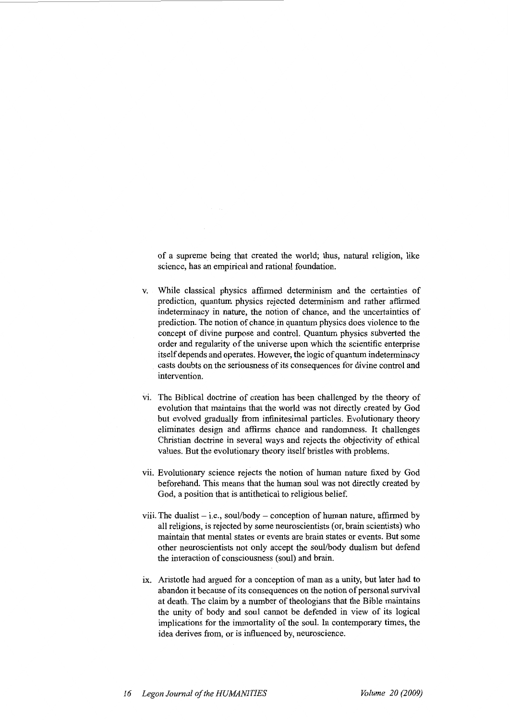of a supreme being that created the world; thus, natural religion, like science, has an empirical and rational foundation.

- v. While classical physics affirmed determinism and the certainties of prediction, quantum physics rejected determinism and rather affirmed indeterminacy in nature, the notion of chance, and the uncertainties of prediction. The notion of chance in quantum physics does violence to the concept of divine purpose and control. Quantum physics subverted the order and regularity of the universe upon which the scientific enterprise itself depends and operates. However, the logic of quantum indeterminacy casts doubts on the seriousness of its consequences for divine control and intervention.
- vi. The Biblical doctrine of creation has been challenged by the theory of evolution that maintains that the world was not directly created by God but evolved gradually from infinitesimal particles. Evolutionary theory eliminates design and affirms chance and randomness. It challenges Christian doctrine in several ways and rejects the objectivity of ethical values. But the evolutionary theory itself bristles with problems.
- vii. Evolutionary science rejects the notion of human nature fixed by God beforehand. This means that the human soul was not directly created by God, a position that is antithetical to religious belief.
- viii. The dualist  $-$  i.e., soul/body  $-$  conception of human nature, affirmed by all religions, is rejected by some neuroscientists (or, brain scientists) who maintain that mental states or events are brain states or events. But some other neuroscientists not only accept the soul/body dualism but defend the interaction of consciousness (soul) and brain.
- ix. Aristotle had argued for a conception of man as a unity, but later had to abandon it because of its consequences on the notion of personal survival at death. The claim by a number of theologians that the Bible maintains the unity of body and soul cannot be defended in view of its logical implications for the immortality of the soul. In contemporary times, the idea derives from, or is influenced by, neuroscience.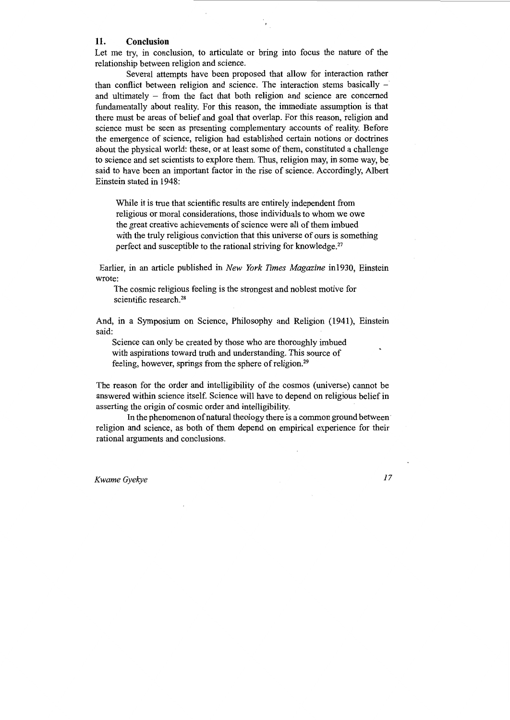### **11. Conclusion**

Let me try, in conclusion, to articulate or bring into focus the nature of the relationship between religion and science.

Several attempts have been proposed that allow for interaction rather than conflict between religion and science. The interaction stems basically  $$ and ultimately  $-$  from the fact that both religion and science are concerned fundamentally about reality. For this reason, the immediate assumption is that there must be areas of belief and goal that overlap. For this reason, religion and science must be seen as presenting complementary accounts of reality. Before the emergence of science, religion had established certain notions or doctrines about the physical world: these, or at least some of them, constituted a challenge to science and set scientists to explore them. Thus, religion may, in some way, be said to have been an important factor in the rise of science. Accordingly, Albert Einstein stated in 1948:

While it is true that scientific results are entirely independent from religious or moral considerations, those individuals to whom we owe the great creative achievements of science were all of them imbued with the truly religious conviction that this universe of ours is something perfect and susceptible to the rational striving for knowledge.<sup>27</sup>

Earlier, in an article published in *New York Times Magazine* in1930, Einstein wrote:

The cosmic religious feeling is the strongest and noblest motive for scientific research.<sup>28</sup>

And, in a Symposium on Science, Philosophy and Religion (1941), Einstein said:

Science can only be created by those who are thoroughly imbued with aspirations toward truth and understanding. This source of feeling, however, springs from the sphere of religion.<sup>29</sup>

The reason for the order and intelligibility of the cosmos (universe) cannot be answered within science itself. Science will have to depend on religious belief in asserting the origin of cosmic order and intelligibility.

In the phenomenon of natural theology there is a common ground between· religion and science, as both of them depend on empirical experience for their rational arguments and conclusions.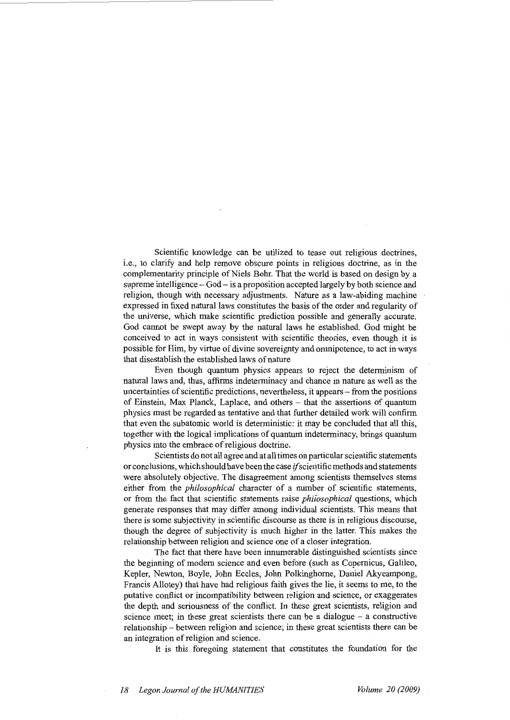Scientific knowledge can be utilized to tease out religious doctrines, i.e., to clarify and help remove obscure points in religious doctrine, as in the complementarity principle of Niels Bohr. That the world is based on design by a supreme intelligence - God - is a proposition accepted largely by both science and religion, though with necessary adjustments. Nature as a law-abiding machine expressed in fixed natural laws constitutes the basis of the order and regularity of the universe, which make scientific prediction possible and generally accurate. God cannot be swept away by the natural laws he established. God might be conceived to act in ways consistent with scientific theories, even though it is possible for Him, by virtue of divine sovereignty and omnipotence, to act in ways that disestablish the established laws of nature

Even though quantum physics appears to reject the determinism of natural laws and, thus, affirms indeterminacy and chance in nature as well as the uncertainties of scientific predictions, nevertheless, it appears - from the positions of Einstein, Max Planck, Laplace, and others - that the assertions of quantum physics must be regarded as tentative and that further detailed work will confirm that even the subatomic world is deterministic: it may be concluded that all this, together with the logical implications of quantum indeterminacy, brings quantum physics into the embrace of religious doctrine.

Scientists do not all agree and at all times on particular scientific statements or conclusions, which should have been the case *if* scientific methods and statements were absolutely objective. The disagreement among scientists themselves stems either from the *philosophical* character of a number of scientific statements, or from the fact that scientific statements raise *phifosophical* questions, which generate responses that may differ among individual scientists. This means that there is some subjectivity in scientific discourse as there is in religious discourse, though the degree of subjectivity is much higher in the latter. This makes the relationship between religion and science one of a closer integration.

The fact that there have been innumerable distinguished scientists since the beginning of modem science and even before (such as Copernicus, Galileo, Kepler, Newton, Boyle, John Eccles, John Polkinghome, Daniel Akyeampong, Francis Allotey) that have had religious faith gives the lie, it seems to me, to the putative conflict or incompatibility between religion and science, or exaggerates the depth and seriousness of the conflict. In these great scientists, religion and science meet; in these great scientists there can be a dialogue  $-$  a constructive relationship - between religion and science; in these great scientists there can be an integration of religion and science.

It is this foregoing statement that constitutes the foundation for the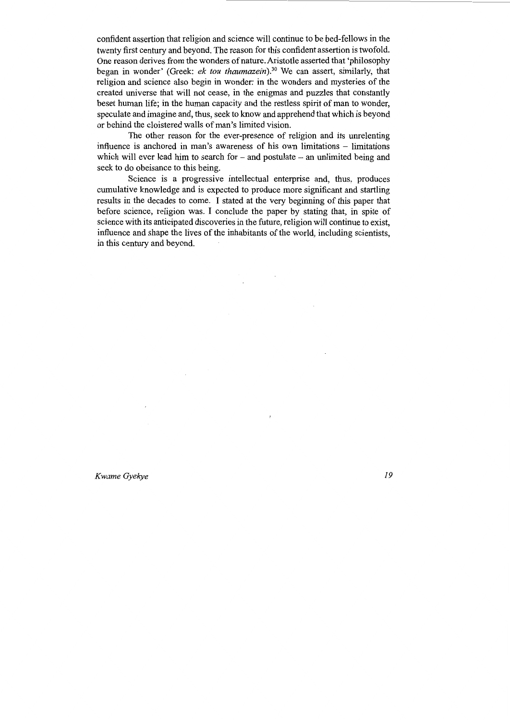confident assertion that religion and science will continue to be bed-fellows in the twenty first century and beyond. The reason for this confident assertion is twofold. One reason derives from the wonders of nature. Aristotle asserted that 'philosophy began in wonder' (Greek: *ek tou thaumazein*).<sup>30</sup> We can assert, similarly, that religion and science also begin in wonder: in the wonders and mysteries of the created universe that will not cease, in the enigmas and puzzles that constantly beset human life; in the human capacity and the restless spirit of man to wonder, speculate and imagine and, thus, seek to know and apprehend that which is beyond or behind the cloistered walls of man's limited vision.

The other reason for the ever-presence of religion and its unrelenting influence is anchored in man's awareness of his own limitations - limitations which will ever lead him to search for  $-$  and postulate  $-$  an unlimited being and seek to do obeisance to this being.

Science is a progressive intellectual enterprise and, thus, produces cumulative knowledge and is expected to produce more significant and startling results in the decades to come. I stated at the very beginning of this paper that before science, religion was. I conclude the paper by stating that, in spite of science with its anticipated discoveries in the future, religion will continue to exist, influence and shape the lives of the inhabitants of the world, including scientists, in this century and beyond.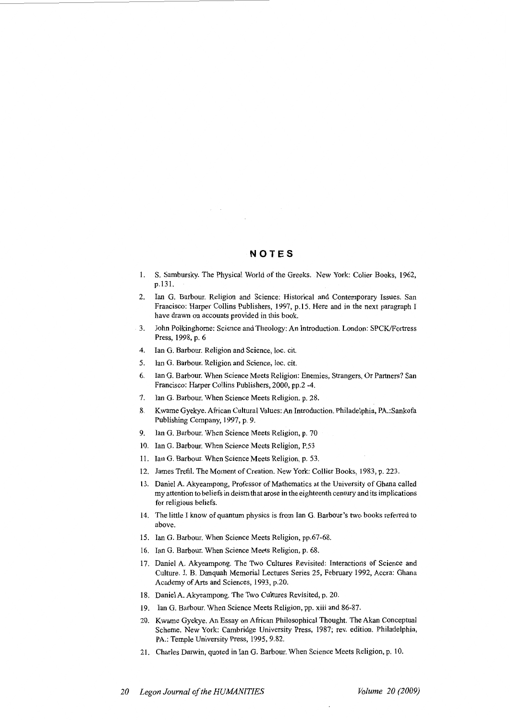## **NOTES**

- 1. S. Sambursky. The Physical World of the Greeks. New York: Colier Books, 1962, p.131.
- 2. Ian G. Barbour. Religion and Science: Historical and Contemporary Issues. San Francisco: Harper Collins Publishers, 1997, p.15. Here and in the next paragraph I have drawn on accounts provided in this book.
- 3. John Polkinghome: Science and Theology: An Introduction. London: SPCK/Fortress Press, 1998, p. 6
- 4. Ian G. Barbour. Religion and Science, Joe. cit.
- 5. Ian G. Barbour. Religion and Science, loc. cit.
- 6. Ian G. Barbour. When Science Meets Religion: Enemies, Strangers, Or Partners? San Francisco: Harper Collins Publishers, 2000, pp.2 -4.
- 7. Ian G. Barbour. When Science Meets Religion. p. 28.
- 8. Kwame Gyekye. African Cultural Values: An Introduction. Philadelphia, PA.:Sankofa Publishing Company, 1997, p. 9.
- 9. Ian G. Barbour. When Science Meets Religion, p. 70
- 10. Ian G. Barbour. When Science Meets Religion, P.53
- 11. Ian G. Barbour. When Science Meets Religion, p. 53.
- 12. James Trefil. The Moment of Creation. New York: Collier Books, 1983, p. 223.
- 13. Daniel A. Akyeampong, Professor of Mathematics at the University of Ghana called my attention to beliefs in deism that arose in the eighteenth century and its implications for religious beliefs.
- 14. The little I know of quantum physics is from Ian G. Barbour's two books referred to above.
- 15. Ian G. Barbour. When Science Meets Religion, pp.67-68.
- 16. Ian G. Barbour. When Science Meets Religion, p. 68.
- 17. Daniel A. Akyeampong. The Two Cultures Revisited: Interactions of Science and Culture. J.B. Danquah Memorial Lectures Series 25, February 1992, Accra: Ghana Academy of Arts and Sciences, 1993, p.20.
- 18. Daniel A. Akyeampong. The Two Cultures Revisited, p. 20.
- 19. Ian G. Barbour. When Science Meets Religion, pp. xiii and 86-87.
- 20. Kwame Gyekye. An Essay on African Philosophical Thought. The Akan Conceptual Scheme. New York: Cambridge University Press, 1987; rev. edition. Philadelphia, PA.: Temple University Press, 1995, 9.82.
- 21. Charles Darwin, quoted in Ian G. Barbour. When Science Meets Religion, p. 10.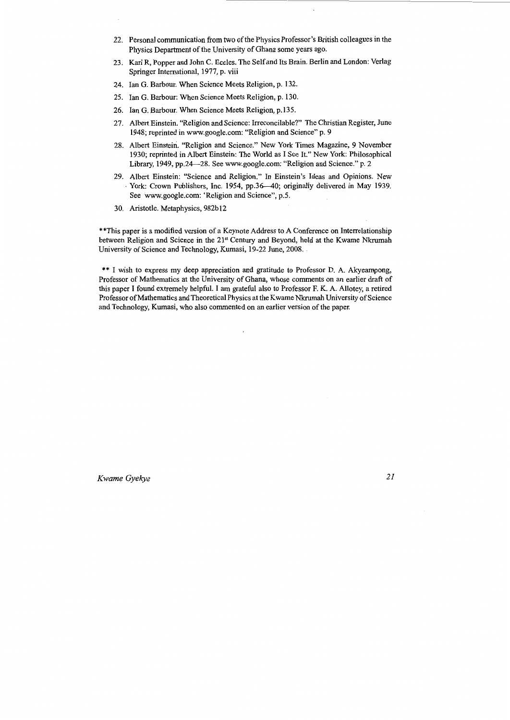- 22. Personal communication from two of the Physics Professor's British colleagues in the Physics Department of the University of Ghana some years ago.
- 23. Karl R, Popper and John C. Eccles. The Self and Its Brain. Berlin and London: Verlag Springer International, 1977, p. viii
- 24. Ian G. Barbour. When Science Meets Religion, p. 132.
- 25. Ian G. Barbour: When Science Meets Religion, p. 130.
- 26. Ian G. Barbour. When Science Meets Religion, p.135.
- 27. Albert Einstein. "Religion and Science: Irreconcilable?" The Christian Register, June 1948; reprinted in www.google.com: "Religion and Science" p. 9
- 28. Albert Einstein. "Religion and Science." New York Times Magazine, 9 November 1930; reprinted in Albert Einstein: The World as I See It." New York: Philosophical Library, 1949, pp.24-28. See www.google.com: "Religion and Science." p. 2
- 29. Albert Einstein: "Science and Religion." In Einstein's Ideas and Opinions. New York: Crown Publishers, Inc. 1954, pp.36-40; originally delivered in May 1939. See www.google.com: 'Religion and Science", p.5.
- 30. Aristotle. Metaphysics, 982b12

\*\*This paper is a modified version of a Keynote Address to A Conference on Interrelationship between Religion and Science in the 21<sup>st</sup> Century and Beyond, held at the Kwame Nkrumah University of Science and Technology, Kumasi, 19-22 June, 2008.

\*\* I wish to express my deep appreciation and gratitude to Professor D. A. Akyeampong, Professor of Mathematics at the University of Ghana, whose comments on an earlier draft of this paper I found extremely helpful. I am grateful also to Professor F. K. A. Allotey, a retired Professor of Mathematics and Theoretical Physics at the Kwame Nkrumah University of Science and Technology, Kumasi, who also commented on an earlier version of the paper.